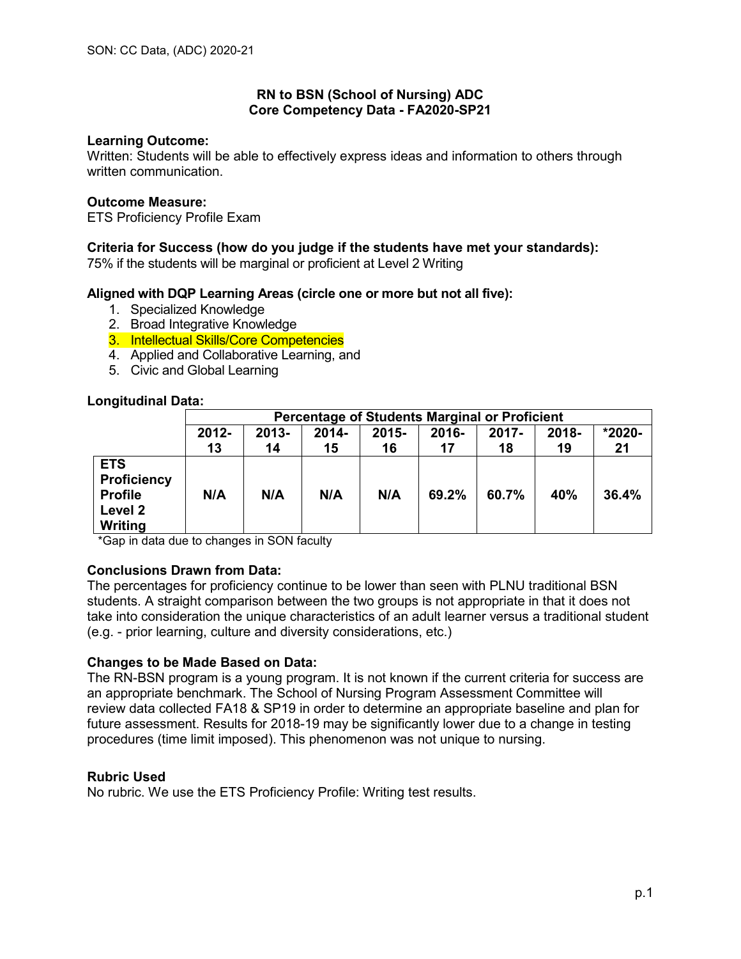# **RN to BSN (School of Nursing) ADC Core Competency Data - FA2020-SP21**

### **Learning Outcome:**

Written: Students will be able to effectively express ideas and information to others through written communication.

### **Outcome Measure:**

ETS Proficiency Profile Exam

# **Criteria for Success (how do you judge if the students have met your standards):**

75% if the students will be marginal or proficient at Level 2 Writing

# **Aligned with DQP Learning Areas (circle one or more but not all five):**

- 1. Specialized Knowledge
- 2. Broad Integrative Knowledge
- 3. Intellectual Skills/Core Competencies
- 4. Applied and Collaborative Learning, and
- 5. Civic and Global Learning

# **Longitudinal Data:**

|                                                                          | <b>Percentage of Students Marginal or Proficient</b> |                |             |                |                |                |             |              |
|--------------------------------------------------------------------------|------------------------------------------------------|----------------|-------------|----------------|----------------|----------------|-------------|--------------|
|                                                                          | 2012-<br>13                                          | $2013 -$<br>14 | 2014-<br>15 | $2015 -$<br>16 | $2016 -$<br>17 | $2017 -$<br>18 | 2018-<br>19 | *2020-<br>21 |
| <b>ETS</b><br><b>Proficiency</b><br><b>Profile</b><br>Level 2<br>Writing | N/A                                                  | N/A            | N/A         | N/A            | 69.2%          | 60.7%          | 40%         | 36.4%        |

\*Gap in data due to changes in SON faculty

# **Conclusions Drawn from Data:**

The percentages for proficiency continue to be lower than seen with PLNU traditional BSN students. A straight comparison between the two groups is not appropriate in that it does not take into consideration the unique characteristics of an adult learner versus a traditional student (e.g. - prior learning, culture and diversity considerations, etc.)

#### **Changes to be Made Based on Data:**

The RN-BSN program is a young program. It is not known if the current criteria for success are an appropriate benchmark. The School of Nursing Program Assessment Committee will review data collected FA18 & SP19 in order to determine an appropriate baseline and plan for future assessment. Results for 2018-19 may be significantly lower due to a change in testing procedures (time limit imposed). This phenomenon was not unique to nursing.

#### **Rubric Used**

No rubric. We use the ETS Proficiency Profile: Writing test results.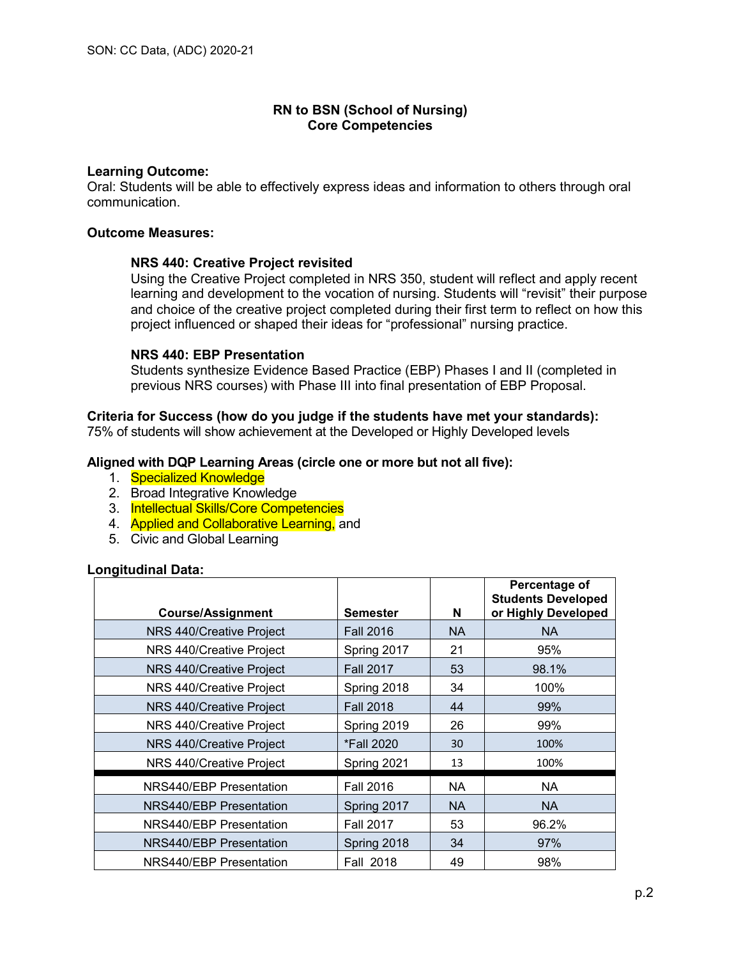# **Learning Outcome:**

Oral: Students will be able to effectively express ideas and information to others through oral communication.

### **Outcome Measures:**

# **NRS 440: Creative Project revisited**

Using the Creative Project completed in NRS 350, student will reflect and apply recent learning and development to the vocation of nursing. Students will "revisit" their purpose and choice of the creative project completed during their first term to reflect on how this project influenced or shaped their ideas for "professional" nursing practice.

# **NRS 440: EBP Presentation**

Students synthesize Evidence Based Practice (EBP) Phases I and II (completed in previous NRS courses) with Phase III into final presentation of EBP Proposal.

# **Criteria for Success (how do you judge if the students have met your standards):**

75% of students will show achievement at the Developed or Highly Developed levels

# **Aligned with DQP Learning Areas (circle one or more but not all five):**

- 1. Specialized Knowledge
- 2. Broad Integrative Knowledge
- 3. Intellectual Skills/Core Competencies
- 4. **Applied and Collaborative Learning, and**
- 5. Civic and Global Learning

#### **Longitudinal Data:**

| <b>Course/Assignment</b>       | <b>Semester</b>  | N         | Percentage of<br><b>Students Developed</b><br>or Highly Developed |
|--------------------------------|------------------|-----------|-------------------------------------------------------------------|
| NRS 440/Creative Project       | <b>Fall 2016</b> | <b>NA</b> | NA.                                                               |
| NRS 440/Creative Project       | Spring 2017      | 21        | 95%                                                               |
| NRS 440/Creative Project       | <b>Fall 2017</b> | 53        | 98.1%                                                             |
| NRS 440/Creative Project       | Spring 2018      | 34        | 100%                                                              |
| NRS 440/Creative Project       | <b>Fall 2018</b> | 44        | 99%                                                               |
| NRS 440/Creative Project       | Spring 2019      | 26        | 99%                                                               |
| NRS 440/Creative Project       | *Fall 2020       | 30        | 100%                                                              |
| NRS 440/Creative Project       | Spring 2021      | 13        | 100%                                                              |
| NRS440/EBP Presentation        | <b>Fall 2016</b> | NA.       | <b>NA</b>                                                         |
| <b>NRS440/EBP Presentation</b> | Spring 2017      | <b>NA</b> | NA.                                                               |
| NRS440/EBP Presentation        | <b>Fall 2017</b> | 53        | 96.2%                                                             |
| <b>NRS440/EBP Presentation</b> | Spring 2018      | 34        | 97%                                                               |
| NRS440/EBP Presentation        | <b>Fall 2018</b> | 49        | 98%                                                               |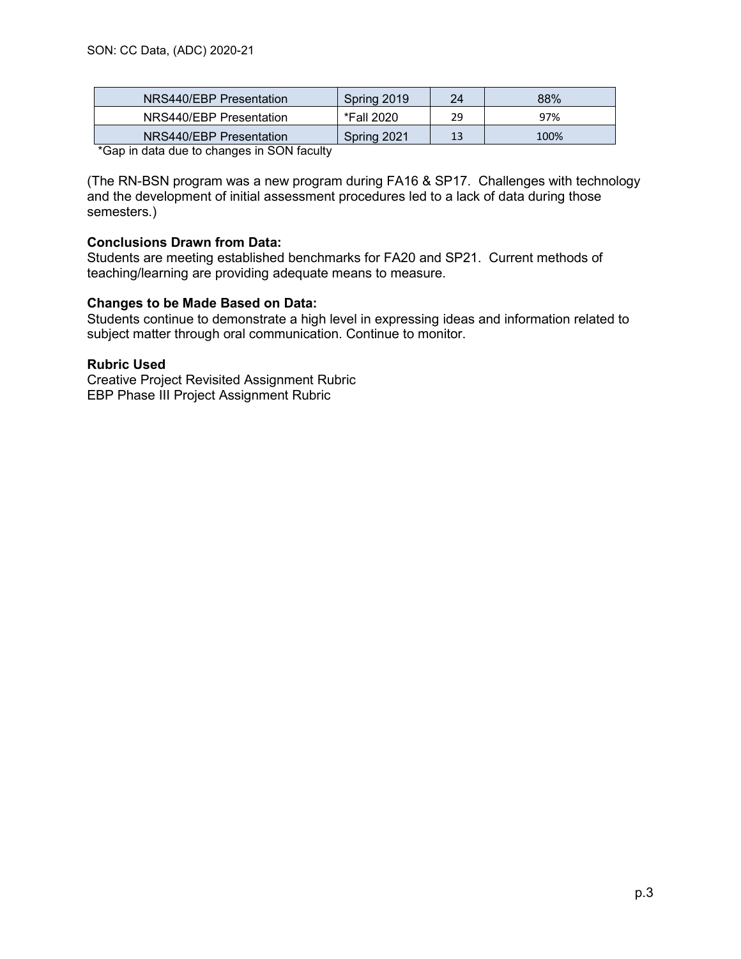| NRS440/EBP Presentation | Spring 2019 | 24 | 88%  |
|-------------------------|-------------|----|------|
| NRS440/EBP Presentation | *Fall 2020  | 29 | 97%  |
| NRS440/EBP Presentation | Spring 2021 | 13 | 100% |

\*Gap in data due to changes in SON faculty

(The RN-BSN program was a new program during FA16 & SP17. Challenges with technology and the development of initial assessment procedures led to a lack of data during those semesters.)

# **Conclusions Drawn from Data:**

Students are meeting established benchmarks for FA20 and SP21. Current methods of teaching/learning are providing adequate means to measure.

# **Changes to be Made Based on Data:**

Students continue to demonstrate a high level in expressing ideas and information related to subject matter through oral communication. Continue to monitor.

#### **Rubric Used**

Creative Project Revisited Assignment Rubric EBP Phase III Project Assignment Rubric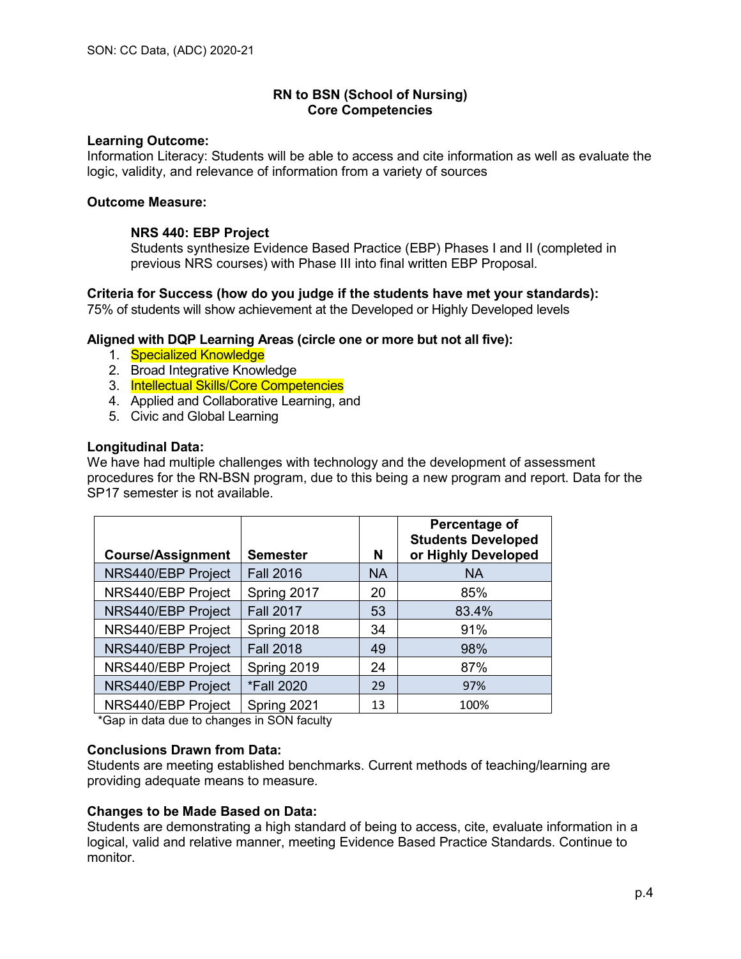### **Learning Outcome:**

Information Literacy: Students will be able to access and cite information as well as evaluate the logic, validity, and relevance of information from a variety of sources

### **Outcome Measure:**

# **NRS 440: EBP Project**

Students synthesize Evidence Based Practice (EBP) Phases I and II (completed in previous NRS courses) with Phase III into final written EBP Proposal.

**Criteria for Success (how do you judge if the students have met your standards):** 75% of students will show achievement at the Developed or Highly Developed levels

# **Aligned with DQP Learning Areas (circle one or more but not all five):**

- 1. Specialized Knowledge
- 2. Broad Integrative Knowledge
- 3. Intellectual Skills/Core Competencies
- 4. Applied and Collaborative Learning, and
- 5. Civic and Global Learning

# **Longitudinal Data:**

We have had multiple challenges with technology and the development of assessment procedures for the RN-BSN program, due to this being a new program and report. Data for the SP17 semester is not available.

| <b>Course/Assignment</b> | <b>Semester</b>                            | N         | Percentage of<br><b>Students Developed</b><br>or Highly Developed |
|--------------------------|--------------------------------------------|-----------|-------------------------------------------------------------------|
| NRS440/EBP Project       | <b>Fall 2016</b>                           | <b>NA</b> | <b>NA</b>                                                         |
| NRS440/EBP Project       | Spring 2017                                | 20        | 85%                                                               |
| NRS440/EBP Project       | <b>Fall 2017</b>                           | 53        | 83.4%                                                             |
| NRS440/EBP Project       | Spring 2018                                | 34        | 91%                                                               |
| NRS440/EBP Project       | <b>Fall 2018</b>                           | 49        | 98%                                                               |
| NRS440/EBP Project       | Spring 2019                                | 24        | 87%                                                               |
| NRS440/EBP Project       | *Fall 2020                                 | 29        | 97%                                                               |
| NRS440/EBP Project       | Spring 2021<br>$\sim$ $\sim$ $\sim$ $\sim$ | 13        | 100%                                                              |

\*Gap in data due to changes in SON faculty

#### **Conclusions Drawn from Data:**

Students are meeting established benchmarks. Current methods of teaching/learning are providing adequate means to measure.

# **Changes to be Made Based on Data:**

Students are demonstrating a high standard of being to access, cite, evaluate information in a logical, valid and relative manner, meeting Evidence Based Practice Standards. Continue to monitor.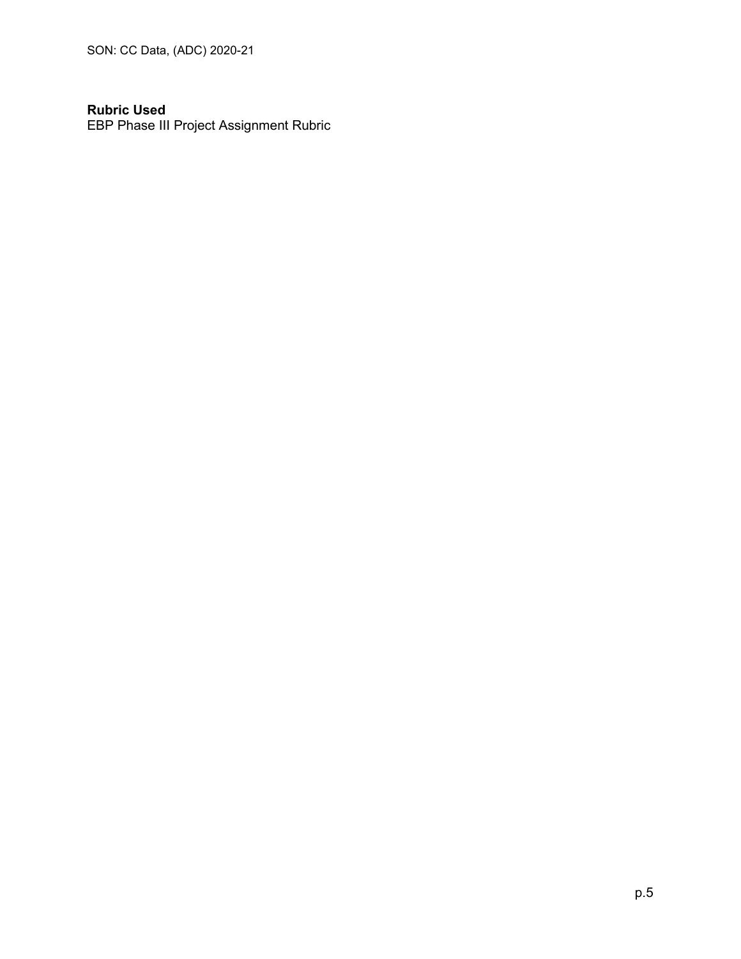SON: CC Data, (ADC) 2020-21

# **Rubric Used**

EBP Phase III Project Assignment Rubric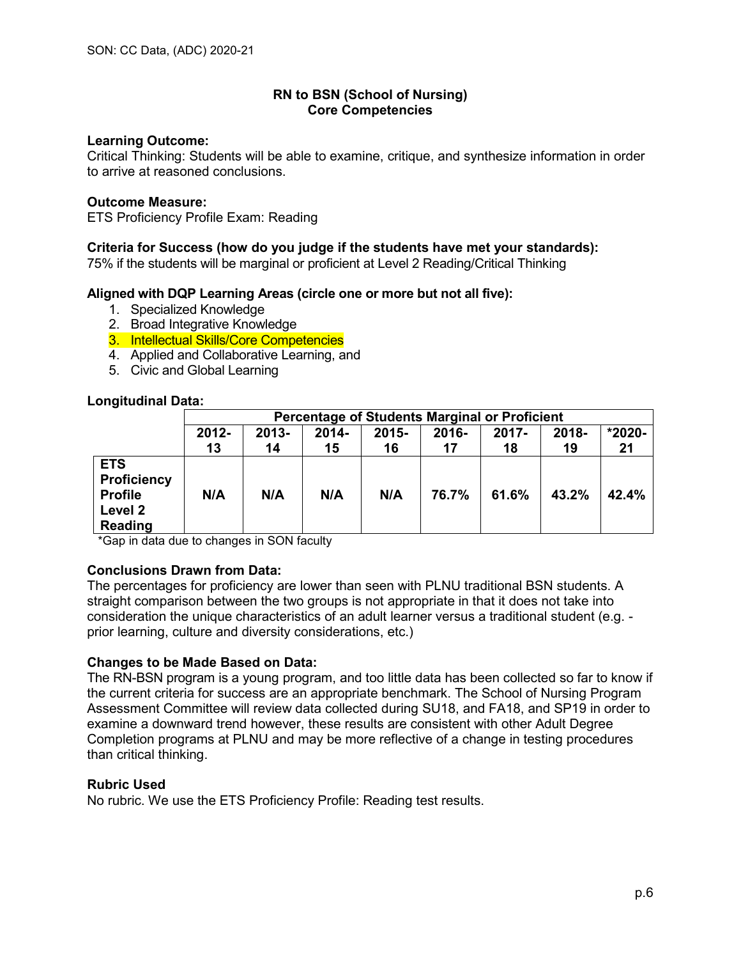### **Learning Outcome:**

Critical Thinking: Students will be able to examine, critique, and synthesize information in order to arrive at reasoned conclusions.

#### **Outcome Measure:**

ETS Proficiency Profile Exam: Reading

# **Criteria for Success (how do you judge if the students have met your standards):**

75% if the students will be marginal or proficient at Level 2 Reading/Critical Thinking

# **Aligned with DQP Learning Areas (circle one or more but not all five):**

- 1. Specialized Knowledge
- 2. Broad Integrative Knowledge
- 3. Intellectual Skills/Core Competencies
- 4. Applied and Collaborative Learning, and
- 5. Civic and Global Learning

# **Longitudinal Data:**

|                                                                          | <b>Percentage of Students Marginal or Proficient</b> |                                                                       |     |     |       |       |       |       |  |
|--------------------------------------------------------------------------|------------------------------------------------------|-----------------------------------------------------------------------|-----|-----|-------|-------|-------|-------|--|
|                                                                          | $2012 -$                                             | *2020-<br>2018-<br>$2013 -$<br>$2015 -$<br>2014-<br>2016-<br>$2017 -$ |     |     |       |       |       |       |  |
|                                                                          | 13                                                   | 14                                                                    | 15  | 16  | 17    | 18    | 19    | 21    |  |
| <b>ETS</b><br><b>Proficiency</b><br><b>Profile</b><br>Level 2<br>Reading | N/A                                                  | N/A                                                                   | N/A | N/A | 76.7% | 61.6% | 43.2% | 42.4% |  |

\*Gap in data due to changes in SON faculty

# **Conclusions Drawn from Data:**

The percentages for proficiency are lower than seen with PLNU traditional BSN students. A straight comparison between the two groups is not appropriate in that it does not take into consideration the unique characteristics of an adult learner versus a traditional student (e.g. prior learning, culture and diversity considerations, etc.)

#### **Changes to be Made Based on Data:**

The RN-BSN program is a young program, and too little data has been collected so far to know if the current criteria for success are an appropriate benchmark. The School of Nursing Program Assessment Committee will review data collected during SU18, and FA18, and SP19 in order to examine a downward trend however, these results are consistent with other Adult Degree Completion programs at PLNU and may be more reflective of a change in testing procedures than critical thinking.

#### **Rubric Used**

No rubric. We use the ETS Proficiency Profile: Reading test results.